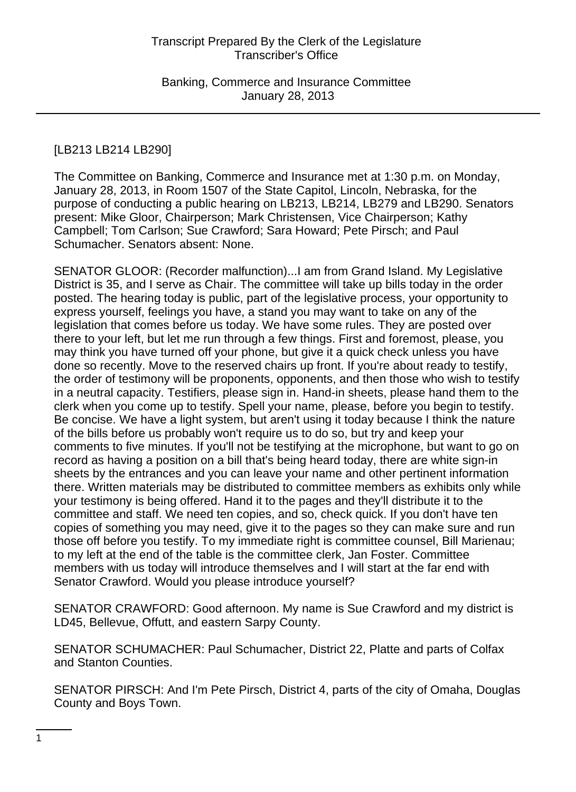# [LB213 LB214 LB290]

The Committee on Banking, Commerce and Insurance met at 1:30 p.m. on Monday, January 28, 2013, in Room 1507 of the State Capitol, Lincoln, Nebraska, for the purpose of conducting a public hearing on LB213, LB214, LB279 and LB290. Senators present: Mike Gloor, Chairperson; Mark Christensen, Vice Chairperson; Kathy Campbell; Tom Carlson; Sue Crawford; Sara Howard; Pete Pirsch; and Paul Schumacher. Senators absent: None.

SENATOR GLOOR: (Recorder malfunction)...I am from Grand Island. My Legislative District is 35, and I serve as Chair. The committee will take up bills today in the order posted. The hearing today is public, part of the legislative process, your opportunity to express yourself, feelings you have, a stand you may want to take on any of the legislation that comes before us today. We have some rules. They are posted over there to your left, but let me run through a few things. First and foremost, please, you may think you have turned off your phone, but give it a quick check unless you have done so recently. Move to the reserved chairs up front. If you're about ready to testify, the order of testimony will be proponents, opponents, and then those who wish to testify in a neutral capacity. Testifiers, please sign in. Hand-in sheets, please hand them to the clerk when you come up to testify. Spell your name, please, before you begin to testify. Be concise. We have a light system, but aren't using it today because I think the nature of the bills before us probably won't require us to do so, but try and keep your comments to five minutes. If you'll not be testifying at the microphone, but want to go on record as having a position on a bill that's being heard today, there are white sign-in sheets by the entrances and you can leave your name and other pertinent information there. Written materials may be distributed to committee members as exhibits only while your testimony is being offered. Hand it to the pages and they'll distribute it to the committee and staff. We need ten copies, and so, check quick. If you don't have ten copies of something you may need, give it to the pages so they can make sure and run those off before you testify. To my immediate right is committee counsel, Bill Marienau; to my left at the end of the table is the committee clerk, Jan Foster. Committee members with us today will introduce themselves and I will start at the far end with Senator Crawford. Would you please introduce yourself?

SENATOR CRAWFORD: Good afternoon. My name is Sue Crawford and my district is LD45, Bellevue, Offutt, and eastern Sarpy County.

SENATOR SCHUMACHER: Paul Schumacher, District 22, Platte and parts of Colfax and Stanton Counties.

SENATOR PIRSCH: And I'm Pete Pirsch, District 4, parts of the city of Omaha, Douglas County and Boys Town.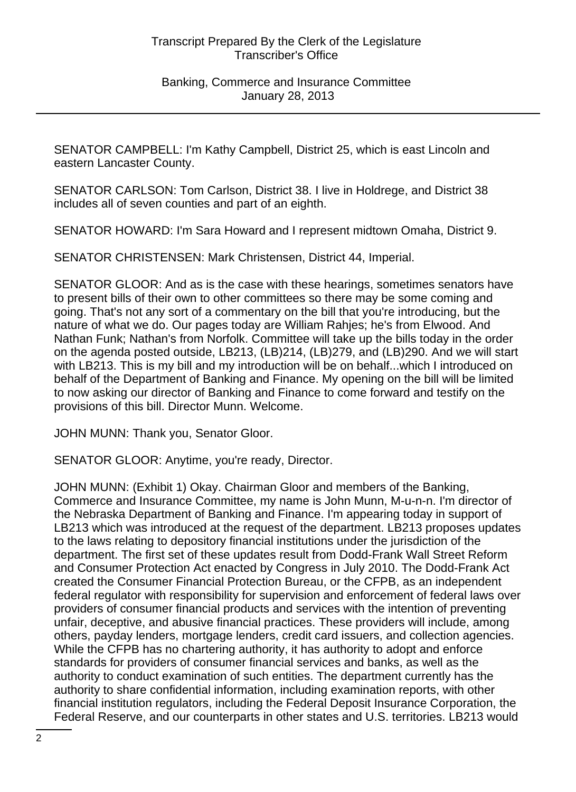SENATOR CAMPBELL: I'm Kathy Campbell, District 25, which is east Lincoln and eastern Lancaster County.

SENATOR CARLSON: Tom Carlson, District 38. I live in Holdrege, and District 38 includes all of seven counties and part of an eighth.

SENATOR HOWARD: I'm Sara Howard and I represent midtown Omaha, District 9.

SENATOR CHRISTENSEN: Mark Christensen, District 44, Imperial.

SENATOR GLOOR: And as is the case with these hearings, sometimes senators have to present bills of their own to other committees so there may be some coming and going. That's not any sort of a commentary on the bill that you're introducing, but the nature of what we do. Our pages today are William Rahjes; he's from Elwood. And Nathan Funk; Nathan's from Norfolk. Committee will take up the bills today in the order on the agenda posted outside, LB213, (LB)214, (LB)279, and (LB)290. And we will start with LB213. This is my bill and my introduction will be on behalf...which I introduced on behalf of the Department of Banking and Finance. My opening on the bill will be limited to now asking our director of Banking and Finance to come forward and testify on the provisions of this bill. Director Munn. Welcome.

JOHN MUNN: Thank you, Senator Gloor.

SENATOR GLOOR: Anytime, you're ready, Director.

JOHN MUNN: (Exhibit 1) Okay. Chairman Gloor and members of the Banking, Commerce and Insurance Committee, my name is John Munn, M-u-n-n. I'm director of the Nebraska Department of Banking and Finance. I'm appearing today in support of LB213 which was introduced at the request of the department. LB213 proposes updates to the laws relating to depository financial institutions under the jurisdiction of the department. The first set of these updates result from Dodd-Frank Wall Street Reform and Consumer Protection Act enacted by Congress in July 2010. The Dodd-Frank Act created the Consumer Financial Protection Bureau, or the CFPB, as an independent federal regulator with responsibility for supervision and enforcement of federal laws over providers of consumer financial products and services with the intention of preventing unfair, deceptive, and abusive financial practices. These providers will include, among others, payday lenders, mortgage lenders, credit card issuers, and collection agencies. While the CFPB has no chartering authority, it has authority to adopt and enforce standards for providers of consumer financial services and banks, as well as the authority to conduct examination of such entities. The department currently has the authority to share confidential information, including examination reports, with other financial institution regulators, including the Federal Deposit Insurance Corporation, the Federal Reserve, and our counterparts in other states and U.S. territories. LB213 would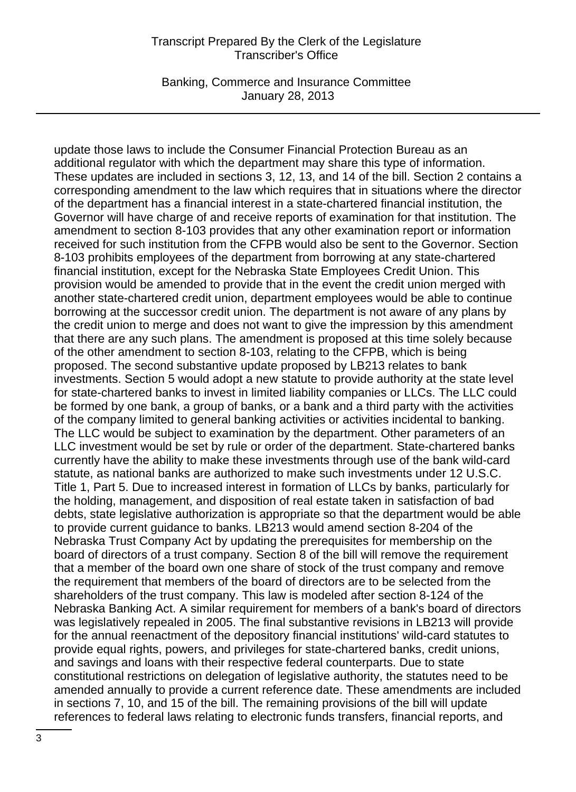Banking, Commerce and Insurance Committee January 28, 2013

update those laws to include the Consumer Financial Protection Bureau as an additional regulator with which the department may share this type of information. These updates are included in sections 3, 12, 13, and 14 of the bill. Section 2 contains a corresponding amendment to the law which requires that in situations where the director of the department has a financial interest in a state-chartered financial institution, the Governor will have charge of and receive reports of examination for that institution. The amendment to section 8-103 provides that any other examination report or information received for such institution from the CFPB would also be sent to the Governor. Section 8-103 prohibits employees of the department from borrowing at any state-chartered financial institution, except for the Nebraska State Employees Credit Union. This provision would be amended to provide that in the event the credit union merged with another state-chartered credit union, department employees would be able to continue borrowing at the successor credit union. The department is not aware of any plans by the credit union to merge and does not want to give the impression by this amendment that there are any such plans. The amendment is proposed at this time solely because of the other amendment to section 8-103, relating to the CFPB, which is being proposed. The second substantive update proposed by LB213 relates to bank investments. Section 5 would adopt a new statute to provide authority at the state level for state-chartered banks to invest in limited liability companies or LLCs. The LLC could be formed by one bank, a group of banks, or a bank and a third party with the activities of the company limited to general banking activities or activities incidental to banking. The LLC would be subject to examination by the department. Other parameters of an LLC investment would be set by rule or order of the department. State-chartered banks currently have the ability to make these investments through use of the bank wild-card statute, as national banks are authorized to make such investments under 12 U.S.C. Title 1, Part 5. Due to increased interest in formation of LLCs by banks, particularly for the holding, management, and disposition of real estate taken in satisfaction of bad debts, state legislative authorization is appropriate so that the department would be able to provide current guidance to banks. LB213 would amend section 8-204 of the Nebraska Trust Company Act by updating the prerequisites for membership on the board of directors of a trust company. Section 8 of the bill will remove the requirement that a member of the board own one share of stock of the trust company and remove the requirement that members of the board of directors are to be selected from the shareholders of the trust company. This law is modeled after section 8-124 of the Nebraska Banking Act. A similar requirement for members of a bank's board of directors was legislatively repealed in 2005. The final substantive revisions in LB213 will provide for the annual reenactment of the depository financial institutions' wild-card statutes to provide equal rights, powers, and privileges for state-chartered banks, credit unions, and savings and loans with their respective federal counterparts. Due to state constitutional restrictions on delegation of legislative authority, the statutes need to be amended annually to provide a current reference date. These amendments are included in sections 7, 10, and 15 of the bill. The remaining provisions of the bill will update references to federal laws relating to electronic funds transfers, financial reports, and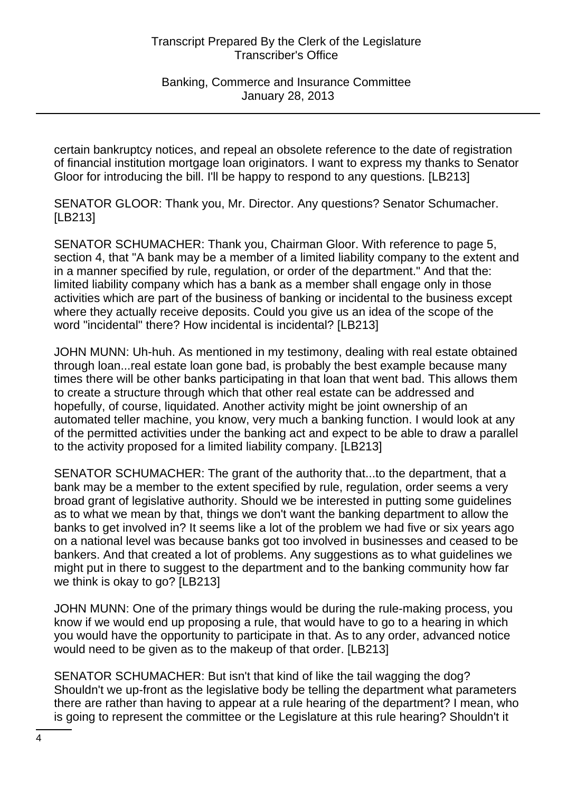Banking, Commerce and Insurance Committee January 28, 2013

certain bankruptcy notices, and repeal an obsolete reference to the date of registration of financial institution mortgage loan originators. I want to express my thanks to Senator Gloor for introducing the bill. I'll be happy to respond to any questions. [LB213]

SENATOR GLOOR: Thank you, Mr. Director. Any questions? Senator Schumacher. [LB213]

SENATOR SCHUMACHER: Thank you, Chairman Gloor. With reference to page 5, section 4, that "A bank may be a member of a limited liability company to the extent and in a manner specified by rule, regulation, or order of the department." And that the: limited liability company which has a bank as a member shall engage only in those activities which are part of the business of banking or incidental to the business except where they actually receive deposits. Could you give us an idea of the scope of the word "incidental" there? How incidental is incidental? [LB213]

JOHN MUNN: Uh-huh. As mentioned in my testimony, dealing with real estate obtained through loan...real estate loan gone bad, is probably the best example because many times there will be other banks participating in that loan that went bad. This allows them to create a structure through which that other real estate can be addressed and hopefully, of course, liquidated. Another activity might be joint ownership of an automated teller machine, you know, very much a banking function. I would look at any of the permitted activities under the banking act and expect to be able to draw a parallel to the activity proposed for a limited liability company. [LB213]

SENATOR SCHUMACHER: The grant of the authority that...to the department, that a bank may be a member to the extent specified by rule, regulation, order seems a very broad grant of legislative authority. Should we be interested in putting some guidelines as to what we mean by that, things we don't want the banking department to allow the banks to get involved in? It seems like a lot of the problem we had five or six years ago on a national level was because banks got too involved in businesses and ceased to be bankers. And that created a lot of problems. Any suggestions as to what guidelines we might put in there to suggest to the department and to the banking community how far we think is okay to go? [LB213]

JOHN MUNN: One of the primary things would be during the rule-making process, you know if we would end up proposing a rule, that would have to go to a hearing in which you would have the opportunity to participate in that. As to any order, advanced notice would need to be given as to the makeup of that order. [LB213]

SENATOR SCHUMACHER: But isn't that kind of like the tail wagging the dog? Shouldn't we up-front as the legislative body be telling the department what parameters there are rather than having to appear at a rule hearing of the department? I mean, who is going to represent the committee or the Legislature at this rule hearing? Shouldn't it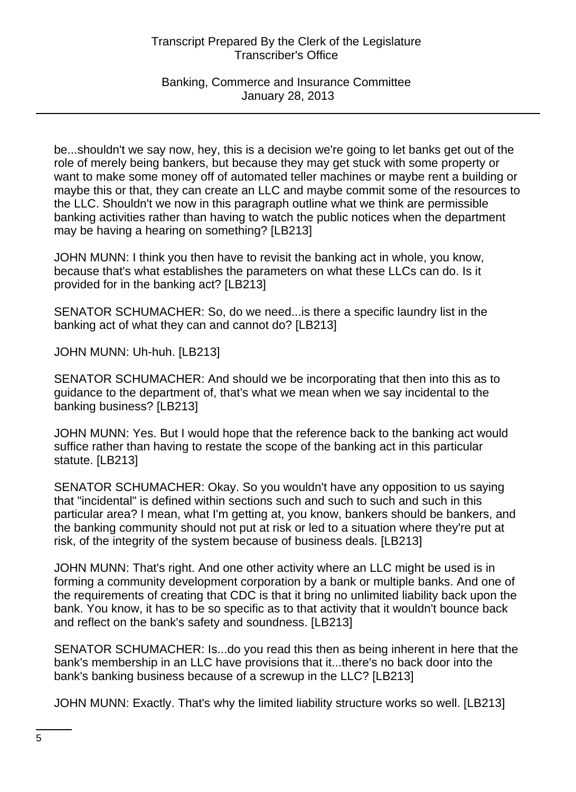Banking, Commerce and Insurance Committee January 28, 2013

be...shouldn't we say now, hey, this is a decision we're going to let banks get out of the role of merely being bankers, but because they may get stuck with some property or want to make some money off of automated teller machines or maybe rent a building or maybe this or that, they can create an LLC and maybe commit some of the resources to the LLC. Shouldn't we now in this paragraph outline what we think are permissible banking activities rather than having to watch the public notices when the department may be having a hearing on something? [LB213]

JOHN MUNN: I think you then have to revisit the banking act in whole, you know, because that's what establishes the parameters on what these LLCs can do. Is it provided for in the banking act? [LB213]

SENATOR SCHUMACHER: So, do we need...is there a specific laundry list in the banking act of what they can and cannot do? [LB213]

JOHN MUNN: Uh-huh. [LB213]

SENATOR SCHUMACHER: And should we be incorporating that then into this as to guidance to the department of, that's what we mean when we say incidental to the banking business? [LB213]

JOHN MUNN: Yes. But I would hope that the reference back to the banking act would suffice rather than having to restate the scope of the banking act in this particular statute. [LB213]

SENATOR SCHUMACHER: Okay. So you wouldn't have any opposition to us saying that "incidental" is defined within sections such and such to such and such in this particular area? I mean, what I'm getting at, you know, bankers should be bankers, and the banking community should not put at risk or led to a situation where they're put at risk, of the integrity of the system because of business deals. [LB213]

JOHN MUNN: That's right. And one other activity where an LLC might be used is in forming a community development corporation by a bank or multiple banks. And one of the requirements of creating that CDC is that it bring no unlimited liability back upon the bank. You know, it has to be so specific as to that activity that it wouldn't bounce back and reflect on the bank's safety and soundness. [LB213]

SENATOR SCHUMACHER: Is...do you read this then as being inherent in here that the bank's membership in an LLC have provisions that it...there's no back door into the bank's banking business because of a screwup in the LLC? [LB213]

JOHN MUNN: Exactly. That's why the limited liability structure works so well. [LB213]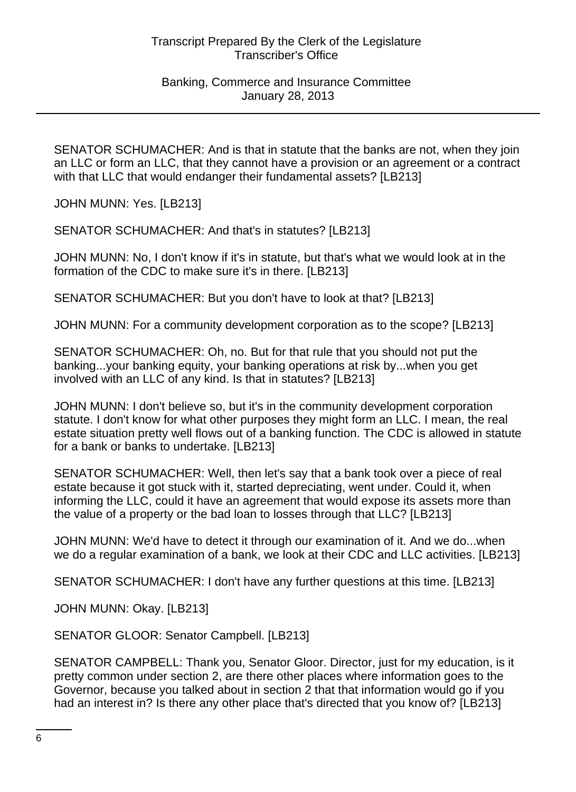#### Banking, Commerce and Insurance Committee January 28, 2013

SENATOR SCHUMACHER: And is that in statute that the banks are not, when they join an LLC or form an LLC, that they cannot have a provision or an agreement or a contract with that LLC that would endanger their fundamental assets? [LB213]

JOHN MUNN: Yes. [LB213]

SENATOR SCHUMACHER: And that's in statutes? [LB213]

JOHN MUNN: No, I don't know if it's in statute, but that's what we would look at in the formation of the CDC to make sure it's in there. [LB213]

SENATOR SCHUMACHER: But you don't have to look at that? [LB213]

JOHN MUNN: For a community development corporation as to the scope? [LB213]

SENATOR SCHUMACHER: Oh, no. But for that rule that you should not put the banking...your banking equity, your banking operations at risk by...when you get involved with an LLC of any kind. Is that in statutes? [LB213]

JOHN MUNN: I don't believe so, but it's in the community development corporation statute. I don't know for what other purposes they might form an LLC. I mean, the real estate situation pretty well flows out of a banking function. The CDC is allowed in statute for a bank or banks to undertake. [LB213]

SENATOR SCHUMACHER: Well, then let's say that a bank took over a piece of real estate because it got stuck with it, started depreciating, went under. Could it, when informing the LLC, could it have an agreement that would expose its assets more than the value of a property or the bad loan to losses through that LLC? [LB213]

JOHN MUNN: We'd have to detect it through our examination of it. And we do...when we do a regular examination of a bank, we look at their CDC and LLC activities. [LB213]

SENATOR SCHUMACHER: I don't have any further questions at this time. [LB213]

JOHN MUNN: Okay. [LB213]

SENATOR GLOOR: Senator Campbell. [LB213]

SENATOR CAMPBELL: Thank you, Senator Gloor. Director, just for my education, is it pretty common under section 2, are there other places where information goes to the Governor, because you talked about in section 2 that that information would go if you had an interest in? Is there any other place that's directed that you know of? [LB213]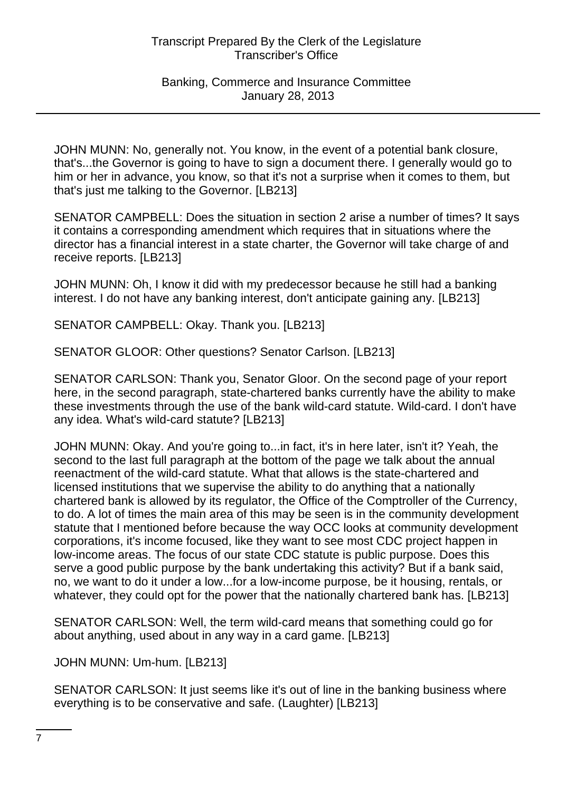JOHN MUNN: No, generally not. You know, in the event of a potential bank closure, that's...the Governor is going to have to sign a document there. I generally would go to him or her in advance, you know, so that it's not a surprise when it comes to them, but that's just me talking to the Governor. [LB213]

SENATOR CAMPBELL: Does the situation in section 2 arise a number of times? It says it contains a corresponding amendment which requires that in situations where the director has a financial interest in a state charter, the Governor will take charge of and receive reports. [LB213]

JOHN MUNN: Oh, I know it did with my predecessor because he still had a banking interest. I do not have any banking interest, don't anticipate gaining any. [LB213]

SENATOR CAMPBELL: Okay. Thank you. [LB213]

SENATOR GLOOR: Other questions? Senator Carlson. [LB213]

SENATOR CARLSON: Thank you, Senator Gloor. On the second page of your report here, in the second paragraph, state-chartered banks currently have the ability to make these investments through the use of the bank wild-card statute. Wild-card. I don't have any idea. What's wild-card statute? [LB213]

JOHN MUNN: Okay. And you're going to...in fact, it's in here later, isn't it? Yeah, the second to the last full paragraph at the bottom of the page we talk about the annual reenactment of the wild-card statute. What that allows is the state-chartered and licensed institutions that we supervise the ability to do anything that a nationally chartered bank is allowed by its regulator, the Office of the Comptroller of the Currency, to do. A lot of times the main area of this may be seen is in the community development statute that I mentioned before because the way OCC looks at community development corporations, it's income focused, like they want to see most CDC project happen in low-income areas. The focus of our state CDC statute is public purpose. Does this serve a good public purpose by the bank undertaking this activity? But if a bank said, no, we want to do it under a low...for a low-income purpose, be it housing, rentals, or whatever, they could opt for the power that the nationally chartered bank has. [LB213]

SENATOR CARLSON: Well, the term wild-card means that something could go for about anything, used about in any way in a card game. [LB213]

JOHN MUNN: Um-hum. [LB213]

SENATOR CARLSON: It just seems like it's out of line in the banking business where everything is to be conservative and safe. (Laughter) [LB213]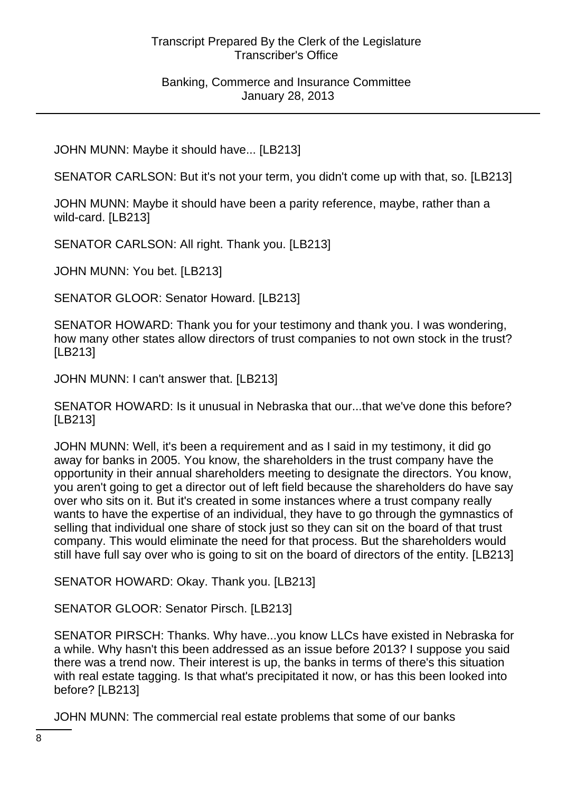Banking, Commerce and Insurance Committee January 28, 2013

JOHN MUNN: Maybe it should have... [LB213]

SENATOR CARLSON: But it's not your term, you didn't come up with that, so. [LB213]

JOHN MUNN: Maybe it should have been a parity reference, maybe, rather than a wild-card. [LB213]

SENATOR CARLSON: All right. Thank you. [LB213]

JOHN MUNN: You bet. [LB213]

SENATOR GLOOR: Senator Howard. [LB213]

SENATOR HOWARD: Thank you for your testimony and thank you. I was wondering, how many other states allow directors of trust companies to not own stock in the trust? [LB213]

JOHN MUNN: I can't answer that. [LB213]

SENATOR HOWARD: Is it unusual in Nebraska that our...that we've done this before? [LB213]

JOHN MUNN: Well, it's been a requirement and as I said in my testimony, it did go away for banks in 2005. You know, the shareholders in the trust company have the opportunity in their annual shareholders meeting to designate the directors. You know, you aren't going to get a director out of left field because the shareholders do have say over who sits on it. But it's created in some instances where a trust company really wants to have the expertise of an individual, they have to go through the gymnastics of selling that individual one share of stock just so they can sit on the board of that trust company. This would eliminate the need for that process. But the shareholders would still have full say over who is going to sit on the board of directors of the entity. [LB213]

SENATOR HOWARD: Okay. Thank you. [LB213]

SENATOR GLOOR: Senator Pirsch. [LB213]

SENATOR PIRSCH: Thanks. Why have...you know LLCs have existed in Nebraska for a while. Why hasn't this been addressed as an issue before 2013? I suppose you said there was a trend now. Their interest is up, the banks in terms of there's this situation with real estate tagging. Is that what's precipitated it now, or has this been looked into before? [LB213]

JOHN MUNN: The commercial real estate problems that some of our banks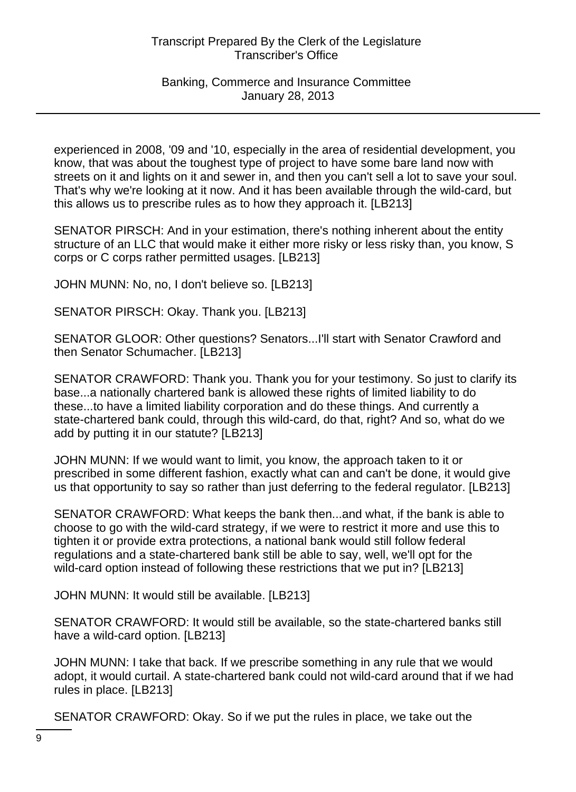experienced in 2008, '09 and '10, especially in the area of residential development, you know, that was about the toughest type of project to have some bare land now with streets on it and lights on it and sewer in, and then you can't sell a lot to save your soul. That's why we're looking at it now. And it has been available through the wild-card, but this allows us to prescribe rules as to how they approach it. [LB213]

SENATOR PIRSCH: And in your estimation, there's nothing inherent about the entity structure of an LLC that would make it either more risky or less risky than, you know, S corps or C corps rather permitted usages. [LB213]

JOHN MUNN: No, no, I don't believe so. [LB213]

SENATOR PIRSCH: Okay. Thank you. [LB213]

SENATOR GLOOR: Other questions? Senators...I'll start with Senator Crawford and then Senator Schumacher. [LB213]

SENATOR CRAWFORD: Thank you. Thank you for your testimony. So just to clarify its base...a nationally chartered bank is allowed these rights of limited liability to do these...to have a limited liability corporation and do these things. And currently a state-chartered bank could, through this wild-card, do that, right? And so, what do we add by putting it in our statute? [LB213]

JOHN MUNN: If we would want to limit, you know, the approach taken to it or prescribed in some different fashion, exactly what can and can't be done, it would give us that opportunity to say so rather than just deferring to the federal regulator. [LB213]

SENATOR CRAWFORD: What keeps the bank then...and what, if the bank is able to choose to go with the wild-card strategy, if we were to restrict it more and use this to tighten it or provide extra protections, a national bank would still follow federal regulations and a state-chartered bank still be able to say, well, we'll opt for the wild-card option instead of following these restrictions that we put in? [LB213]

JOHN MUNN: It would still be available. [LB213]

SENATOR CRAWFORD: It would still be available, so the state-chartered banks still have a wild-card option. [LB213]

JOHN MUNN: I take that back. If we prescribe something in any rule that we would adopt, it would curtail. A state-chartered bank could not wild-card around that if we had rules in place. [LB213]

SENATOR CRAWFORD: Okay. So if we put the rules in place, we take out the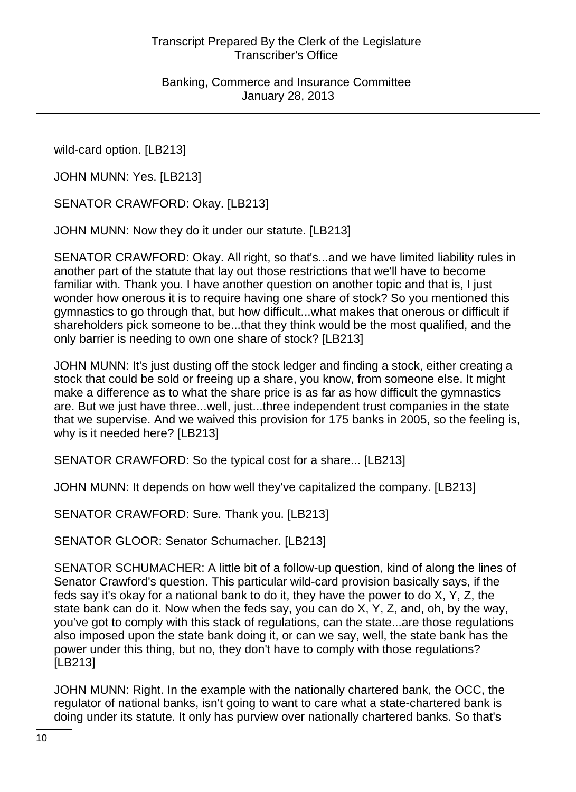wild-card option. [LB213]

JOHN MUNN: Yes. [LB213]

SENATOR CRAWFORD: Okay. [LB213]

JOHN MUNN: Now they do it under our statute. [LB213]

SENATOR CRAWFORD: Okay. All right, so that's...and we have limited liability rules in another part of the statute that lay out those restrictions that we'll have to become familiar with. Thank you. I have another question on another topic and that is, I just wonder how onerous it is to require having one share of stock? So you mentioned this gymnastics to go through that, but how difficult...what makes that onerous or difficult if shareholders pick someone to be...that they think would be the most qualified, and the only barrier is needing to own one share of stock? [LB213]

JOHN MUNN: It's just dusting off the stock ledger and finding a stock, either creating a stock that could be sold or freeing up a share, you know, from someone else. It might make a difference as to what the share price is as far as how difficult the gymnastics are. But we just have three...well, just...three independent trust companies in the state that we supervise. And we waived this provision for 175 banks in 2005, so the feeling is, why is it needed here? [LB213]

SENATOR CRAWFORD: So the typical cost for a share... [LB213]

JOHN MUNN: It depends on how well they've capitalized the company. [LB213]

SENATOR CRAWFORD: Sure. Thank you. [LB213]

SENATOR GLOOR: Senator Schumacher. [LB213]

SENATOR SCHUMACHER: A little bit of a follow-up question, kind of along the lines of Senator Crawford's question. This particular wild-card provision basically says, if the feds say it's okay for a national bank to do it, they have the power to do X, Y, Z, the state bank can do it. Now when the feds say, you can do  $X, Y, Z$ , and, oh, by the way, you've got to comply with this stack of regulations, can the state...are those regulations also imposed upon the state bank doing it, or can we say, well, the state bank has the power under this thing, but no, they don't have to comply with those regulations? [LB213]

JOHN MUNN: Right. In the example with the nationally chartered bank, the OCC, the regulator of national banks, isn't going to want to care what a state-chartered bank is doing under its statute. It only has purview over nationally chartered banks. So that's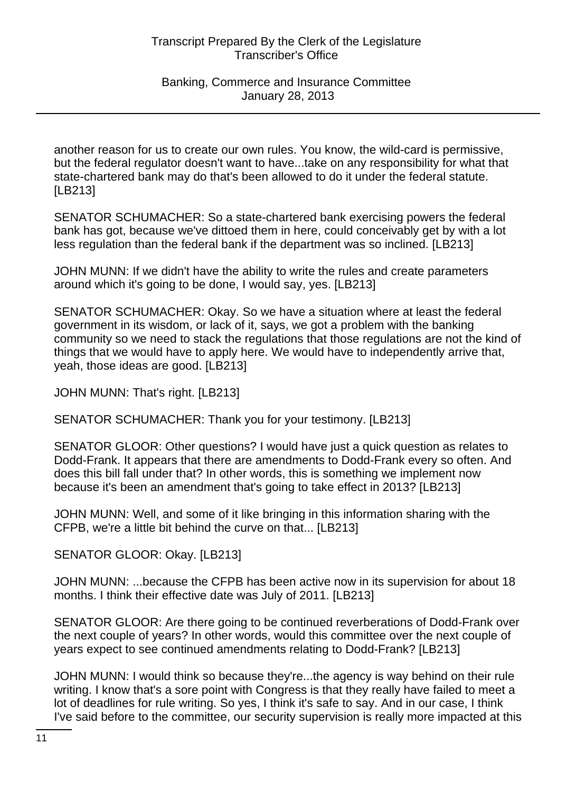another reason for us to create our own rules. You know, the wild-card is permissive, but the federal regulator doesn't want to have...take on any responsibility for what that state-chartered bank may do that's been allowed to do it under the federal statute. [LB213]

SENATOR SCHUMACHER: So a state-chartered bank exercising powers the federal bank has got, because we've dittoed them in here, could conceivably get by with a lot less regulation than the federal bank if the department was so inclined. [LB213]

JOHN MUNN: If we didn't have the ability to write the rules and create parameters around which it's going to be done, I would say, yes. [LB213]

SENATOR SCHUMACHER: Okay. So we have a situation where at least the federal government in its wisdom, or lack of it, says, we got a problem with the banking community so we need to stack the regulations that those regulations are not the kind of things that we would have to apply here. We would have to independently arrive that, yeah, those ideas are good. [LB213]

JOHN MUNN: That's right. [LB213]

SENATOR SCHUMACHER: Thank you for your testimony. [LB213]

SENATOR GLOOR: Other questions? I would have just a quick question as relates to Dodd-Frank. It appears that there are amendments to Dodd-Frank every so often. And does this bill fall under that? In other words, this is something we implement now because it's been an amendment that's going to take effect in 2013? [LB213]

JOHN MUNN: Well, and some of it like bringing in this information sharing with the CFPB, we're a little bit behind the curve on that... [LB213]

SENATOR GLOOR: Okay. [LB213]

JOHN MUNN: ...because the CFPB has been active now in its supervision for about 18 months. I think their effective date was July of 2011. [LB213]

SENATOR GLOOR: Are there going to be continued reverberations of Dodd-Frank over the next couple of years? In other words, would this committee over the next couple of years expect to see continued amendments relating to Dodd-Frank? [LB213]

JOHN MUNN: I would think so because they're...the agency is way behind on their rule writing. I know that's a sore point with Congress is that they really have failed to meet a lot of deadlines for rule writing. So yes, I think it's safe to say. And in our case, I think I've said before to the committee, our security supervision is really more impacted at this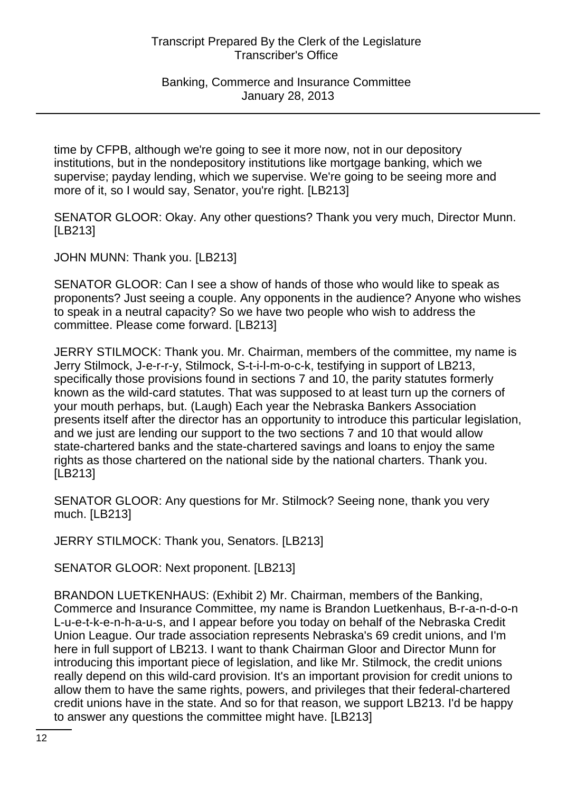time by CFPB, although we're going to see it more now, not in our depository institutions, but in the nondepository institutions like mortgage banking, which we supervise; payday lending, which we supervise. We're going to be seeing more and more of it, so I would say, Senator, you're right. [LB213]

SENATOR GLOOR: Okay. Any other questions? Thank you very much, Director Munn. [LB213]

JOHN MUNN: Thank you. [LB213]

SENATOR GLOOR: Can I see a show of hands of those who would like to speak as proponents? Just seeing a couple. Any opponents in the audience? Anyone who wishes to speak in a neutral capacity? So we have two people who wish to address the committee. Please come forward. [LB213]

JERRY STILMOCK: Thank you. Mr. Chairman, members of the committee, my name is Jerry Stilmock, J-e-r-r-y, Stilmock, S-t-i-l-m-o-c-k, testifying in support of LB213, specifically those provisions found in sections 7 and 10, the parity statutes formerly known as the wild-card statutes. That was supposed to at least turn up the corners of your mouth perhaps, but. (Laugh) Each year the Nebraska Bankers Association presents itself after the director has an opportunity to introduce this particular legislation, and we just are lending our support to the two sections 7 and 10 that would allow state-chartered banks and the state-chartered savings and loans to enjoy the same rights as those chartered on the national side by the national charters. Thank you. [LB213]

SENATOR GLOOR: Any questions for Mr. Stilmock? Seeing none, thank you very much. [LB213]

JERRY STILMOCK: Thank you, Senators. [LB213]

SENATOR GLOOR: Next proponent. [LB213]

BRANDON LUETKENHAUS: (Exhibit 2) Mr. Chairman, members of the Banking, Commerce and Insurance Committee, my name is Brandon Luetkenhaus, B-r-a-n-d-o-n L-u-e-t-k-e-n-h-a-u-s, and I appear before you today on behalf of the Nebraska Credit Union League. Our trade association represents Nebraska's 69 credit unions, and I'm here in full support of LB213. I want to thank Chairman Gloor and Director Munn for introducing this important piece of legislation, and like Mr. Stilmock, the credit unions really depend on this wild-card provision. It's an important provision for credit unions to allow them to have the same rights, powers, and privileges that their federal-chartered credit unions have in the state. And so for that reason, we support LB213. I'd be happy to answer any questions the committee might have. [LB213]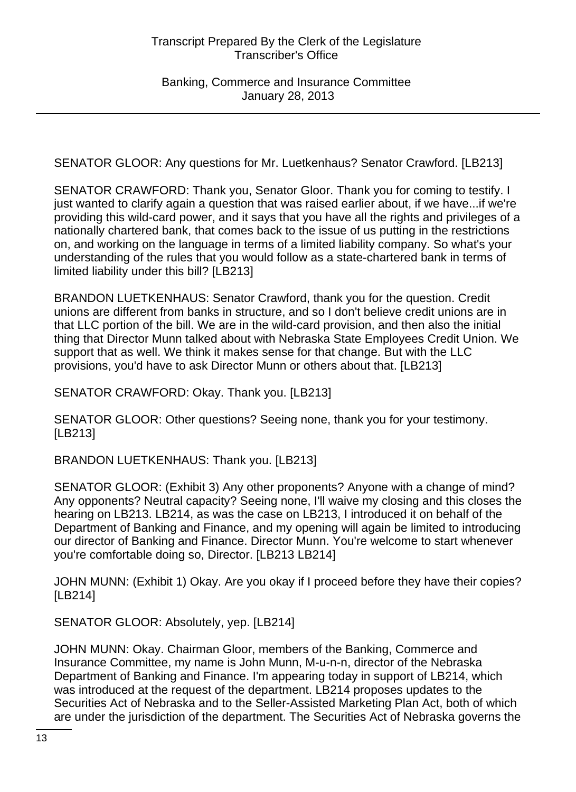SENATOR GLOOR: Any questions for Mr. Luetkenhaus? Senator Crawford. [LB213]

SENATOR CRAWFORD: Thank you, Senator Gloor. Thank you for coming to testify. I just wanted to clarify again a question that was raised earlier about, if we have...if we're providing this wild-card power, and it says that you have all the rights and privileges of a nationally chartered bank, that comes back to the issue of us putting in the restrictions on, and working on the language in terms of a limited liability company. So what's your understanding of the rules that you would follow as a state-chartered bank in terms of limited liability under this bill? [LB213]

BRANDON LUETKENHAUS: Senator Crawford, thank you for the question. Credit unions are different from banks in structure, and so I don't believe credit unions are in that LLC portion of the bill. We are in the wild-card provision, and then also the initial thing that Director Munn talked about with Nebraska State Employees Credit Union. We support that as well. We think it makes sense for that change. But with the LLC provisions, you'd have to ask Director Munn or others about that. [LB213]

SENATOR CRAWFORD: Okay. Thank you. [LB213]

SENATOR GLOOR: Other questions? Seeing none, thank you for your testimony. [LB213]

BRANDON LUETKENHAUS: Thank you. [LB213]

SENATOR GLOOR: (Exhibit 3) Any other proponents? Anyone with a change of mind? Any opponents? Neutral capacity? Seeing none, I'll waive my closing and this closes the hearing on LB213. LB214, as was the case on LB213, I introduced it on behalf of the Department of Banking and Finance, and my opening will again be limited to introducing our director of Banking and Finance. Director Munn. You're welcome to start whenever you're comfortable doing so, Director. [LB213 LB214]

JOHN MUNN: (Exhibit 1) Okay. Are you okay if I proceed before they have their copies? [LB214]

SENATOR GLOOR: Absolutely, yep. [LB214]

JOHN MUNN: Okay. Chairman Gloor, members of the Banking, Commerce and Insurance Committee, my name is John Munn, M-u-n-n, director of the Nebraska Department of Banking and Finance. I'm appearing today in support of LB214, which was introduced at the request of the department. LB214 proposes updates to the Securities Act of Nebraska and to the Seller-Assisted Marketing Plan Act, both of which are under the jurisdiction of the department. The Securities Act of Nebraska governs the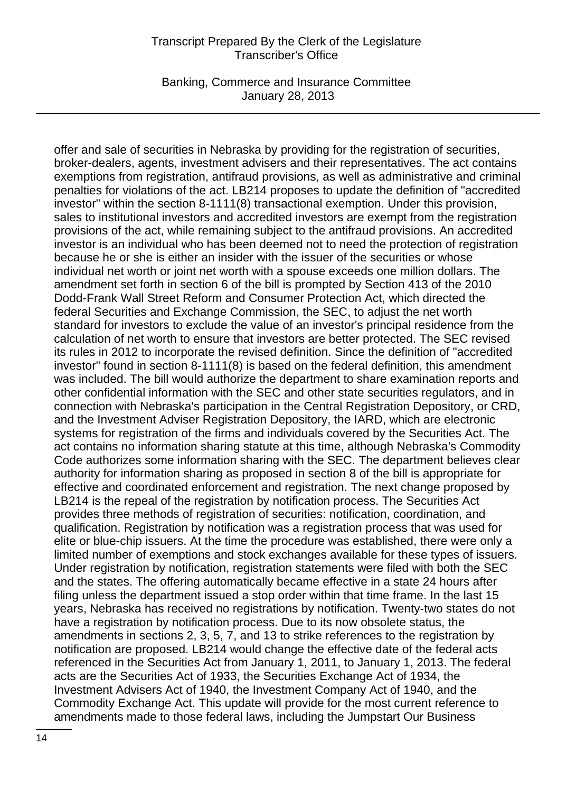Banking, Commerce and Insurance Committee January 28, 2013

offer and sale of securities in Nebraska by providing for the registration of securities, broker-dealers, agents, investment advisers and their representatives. The act contains exemptions from registration, antifraud provisions, as well as administrative and criminal penalties for violations of the act. LB214 proposes to update the definition of "accredited investor" within the section 8-1111(8) transactional exemption. Under this provision, sales to institutional investors and accredited investors are exempt from the registration provisions of the act, while remaining subject to the antifraud provisions. An accredited investor is an individual who has been deemed not to need the protection of registration because he or she is either an insider with the issuer of the securities or whose individual net worth or joint net worth with a spouse exceeds one million dollars. The amendment set forth in section 6 of the bill is prompted by Section 413 of the 2010 Dodd-Frank Wall Street Reform and Consumer Protection Act, which directed the federal Securities and Exchange Commission, the SEC, to adjust the net worth standard for investors to exclude the value of an investor's principal residence from the calculation of net worth to ensure that investors are better protected. The SEC revised its rules in 2012 to incorporate the revised definition. Since the definition of "accredited investor" found in section 8-1111(8) is based on the federal definition, this amendment was included. The bill would authorize the department to share examination reports and other confidential information with the SEC and other state securities regulators, and in connection with Nebraska's participation in the Central Registration Depository, or CRD, and the Investment Adviser Registration Depository, the IARD, which are electronic systems for registration of the firms and individuals covered by the Securities Act. The act contains no information sharing statute at this time, although Nebraska's Commodity Code authorizes some information sharing with the SEC. The department believes clear authority for information sharing as proposed in section 8 of the bill is appropriate for effective and coordinated enforcement and registration. The next change proposed by LB214 is the repeal of the registration by notification process. The Securities Act provides three methods of registration of securities: notification, coordination, and qualification. Registration by notification was a registration process that was used for elite or blue-chip issuers. At the time the procedure was established, there were only a limited number of exemptions and stock exchanges available for these types of issuers. Under registration by notification, registration statements were filed with both the SEC and the states. The offering automatically became effective in a state 24 hours after filing unless the department issued a stop order within that time frame. In the last 15 years, Nebraska has received no registrations by notification. Twenty-two states do not have a registration by notification process. Due to its now obsolete status, the amendments in sections 2, 3, 5, 7, and 13 to strike references to the registration by notification are proposed. LB214 would change the effective date of the federal acts referenced in the Securities Act from January 1, 2011, to January 1, 2013. The federal acts are the Securities Act of 1933, the Securities Exchange Act of 1934, the Investment Advisers Act of 1940, the Investment Company Act of 1940, and the Commodity Exchange Act. This update will provide for the most current reference to amendments made to those federal laws, including the Jumpstart Our Business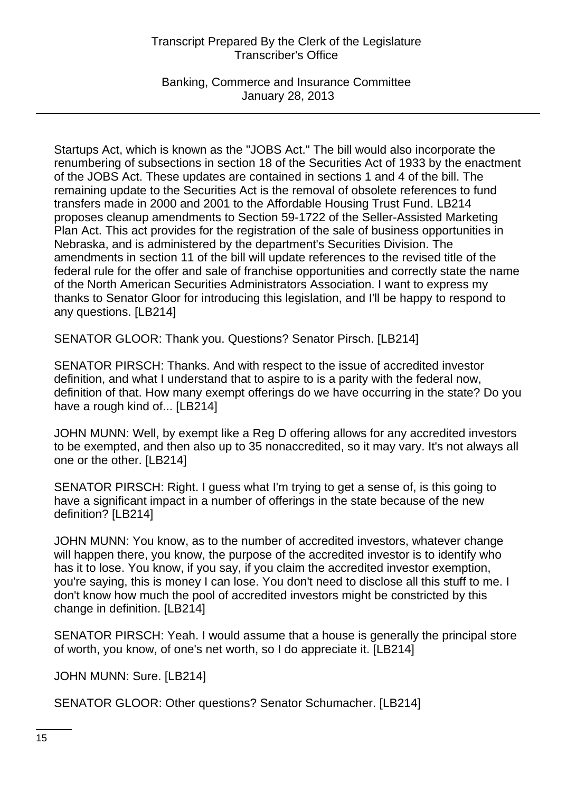Banking, Commerce and Insurance Committee January 28, 2013

Startups Act, which is known as the "JOBS Act." The bill would also incorporate the renumbering of subsections in section 18 of the Securities Act of 1933 by the enactment of the JOBS Act. These updates are contained in sections 1 and 4 of the bill. The remaining update to the Securities Act is the removal of obsolete references to fund transfers made in 2000 and 2001 to the Affordable Housing Trust Fund. LB214 proposes cleanup amendments to Section 59-1722 of the Seller-Assisted Marketing Plan Act. This act provides for the registration of the sale of business opportunities in Nebraska, and is administered by the department's Securities Division. The amendments in section 11 of the bill will update references to the revised title of the federal rule for the offer and sale of franchise opportunities and correctly state the name of the North American Securities Administrators Association. I want to express my thanks to Senator Gloor for introducing this legislation, and I'll be happy to respond to any questions. [LB214]

SENATOR GLOOR: Thank you. Questions? Senator Pirsch. [LB214]

SENATOR PIRSCH: Thanks. And with respect to the issue of accredited investor definition, and what I understand that to aspire to is a parity with the federal now, definition of that. How many exempt offerings do we have occurring in the state? Do you have a rough kind of... [LB214]

JOHN MUNN: Well, by exempt like a Reg D offering allows for any accredited investors to be exempted, and then also up to 35 nonaccredited, so it may vary. It's not always all one or the other. [LB214]

SENATOR PIRSCH: Right. I guess what I'm trying to get a sense of, is this going to have a significant impact in a number of offerings in the state because of the new definition? [LB214]

JOHN MUNN: You know, as to the number of accredited investors, whatever change will happen there, you know, the purpose of the accredited investor is to identify who has it to lose. You know, if you say, if you claim the accredited investor exemption, you're saying, this is money I can lose. You don't need to disclose all this stuff to me. I don't know how much the pool of accredited investors might be constricted by this change in definition. [LB214]

SENATOR PIRSCH: Yeah. I would assume that a house is generally the principal store of worth, you know, of one's net worth, so I do appreciate it. [LB214]

JOHN MUNN: Sure. [LB214]

SENATOR GLOOR: Other questions? Senator Schumacher. [LB214]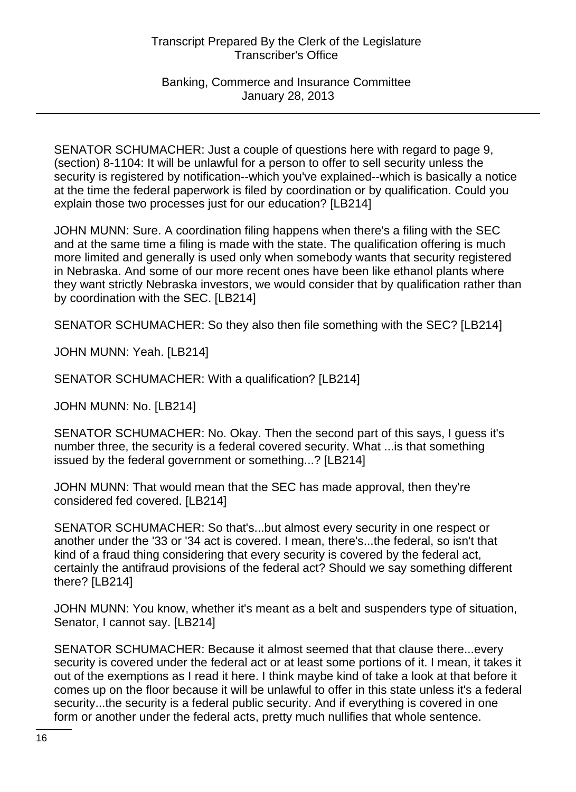SENATOR SCHUMACHER: Just a couple of questions here with regard to page 9, (section) 8-1104: It will be unlawful for a person to offer to sell security unless the security is registered by notification--which you've explained--which is basically a notice at the time the federal paperwork is filed by coordination or by qualification. Could you explain those two processes just for our education? [LB214]

JOHN MUNN: Sure. A coordination filing happens when there's a filing with the SEC and at the same time a filing is made with the state. The qualification offering is much more limited and generally is used only when somebody wants that security registered in Nebraska. And some of our more recent ones have been like ethanol plants where they want strictly Nebraska investors, we would consider that by qualification rather than by coordination with the SEC. [LB214]

SENATOR SCHUMACHER: So they also then file something with the SEC? [LB214]

JOHN MUNN: Yeah. [LB214]

SENATOR SCHUMACHER: With a qualification? [LB214]

JOHN MUNN: No. [LB214]

SENATOR SCHUMACHER: No. Okay. Then the second part of this says, I guess it's number three, the security is a federal covered security. What ...is that something issued by the federal government or something...? [LB214]

JOHN MUNN: That would mean that the SEC has made approval, then they're considered fed covered. [LB214]

SENATOR SCHUMACHER: So that's...but almost every security in one respect or another under the '33 or '34 act is covered. I mean, there's...the federal, so isn't that kind of a fraud thing considering that every security is covered by the federal act, certainly the antifraud provisions of the federal act? Should we say something different there? [LB214]

JOHN MUNN: You know, whether it's meant as a belt and suspenders type of situation, Senator, I cannot say. [LB214]

SENATOR SCHUMACHER: Because it almost seemed that that clause there...every security is covered under the federal act or at least some portions of it. I mean, it takes it out of the exemptions as I read it here. I think maybe kind of take a look at that before it comes up on the floor because it will be unlawful to offer in this state unless it's a federal security...the security is a federal public security. And if everything is covered in one form or another under the federal acts, pretty much nullifies that whole sentence.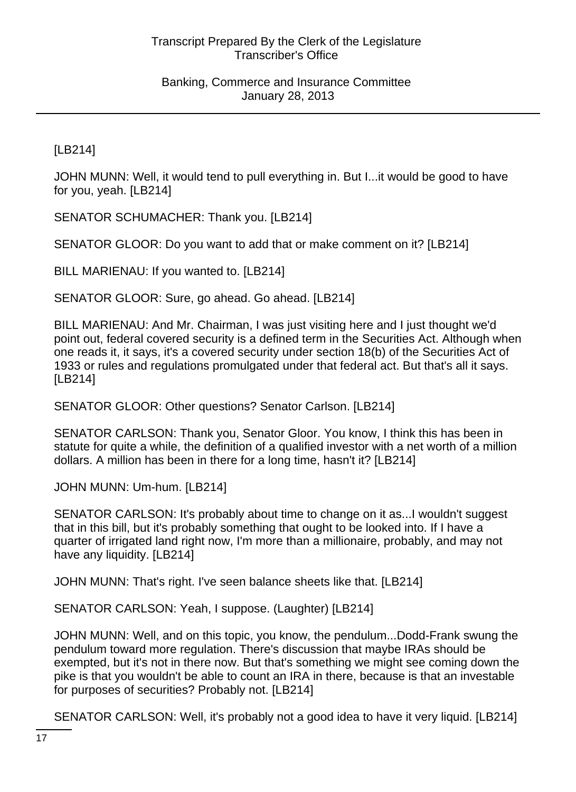[LB214]

JOHN MUNN: Well, it would tend to pull everything in. But I...it would be good to have for you, yeah. [LB214]

SENATOR SCHUMACHER: Thank you. [LB214]

SENATOR GLOOR: Do you want to add that or make comment on it? [LB214]

BILL MARIENAU: If you wanted to. [LB214]

SENATOR GLOOR: Sure, go ahead. Go ahead. [LB214]

BILL MARIENAU: And Mr. Chairman, I was just visiting here and I just thought we'd point out, federal covered security is a defined term in the Securities Act. Although when one reads it, it says, it's a covered security under section 18(b) of the Securities Act of 1933 or rules and regulations promulgated under that federal act. But that's all it says. [LB214]

SENATOR GLOOR: Other questions? Senator Carlson. [LB214]

SENATOR CARLSON: Thank you, Senator Gloor. You know, I think this has been in statute for quite a while, the definition of a qualified investor with a net worth of a million dollars. A million has been in there for a long time, hasn't it? [LB214]

JOHN MUNN: Um-hum. [LB214]

SENATOR CARLSON: It's probably about time to change on it as...I wouldn't suggest that in this bill, but it's probably something that ought to be looked into. If I have a quarter of irrigated land right now, I'm more than a millionaire, probably, and may not have any liquidity. [LB214]

JOHN MUNN: That's right. I've seen balance sheets like that. [LB214]

SENATOR CARLSON: Yeah, I suppose. (Laughter) [LB214]

JOHN MUNN: Well, and on this topic, you know, the pendulum...Dodd-Frank swung the pendulum toward more regulation. There's discussion that maybe IRAs should be exempted, but it's not in there now. But that's something we might see coming down the pike is that you wouldn't be able to count an IRA in there, because is that an investable for purposes of securities? Probably not. [LB214]

SENATOR CARLSON: Well, it's probably not a good idea to have it very liquid. [LB214]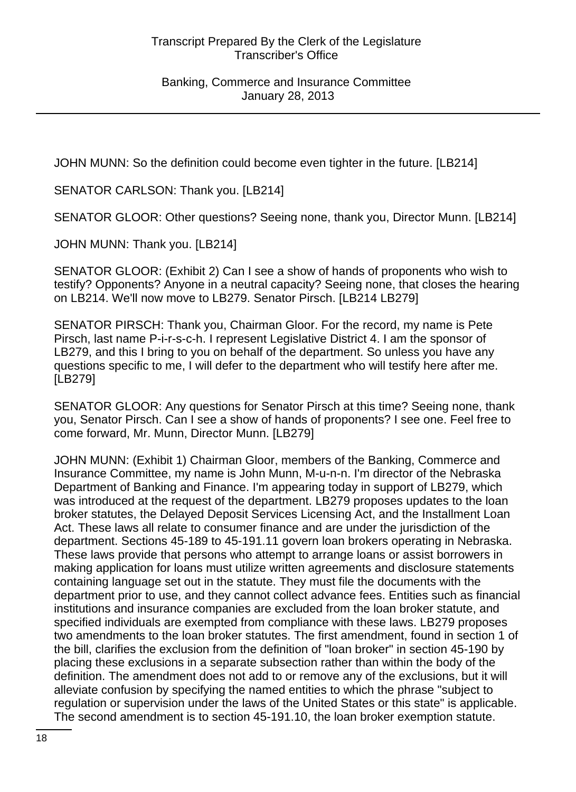JOHN MUNN: So the definition could become even tighter in the future. [LB214]

SENATOR CARLSON: Thank you. [LB214]

SENATOR GLOOR: Other questions? Seeing none, thank you, Director Munn. [LB214]

JOHN MUNN: Thank you. [LB214]

SENATOR GLOOR: (Exhibit 2) Can I see a show of hands of proponents who wish to testify? Opponents? Anyone in a neutral capacity? Seeing none, that closes the hearing on LB214. We'll now move to LB279. Senator Pirsch. [LB214 LB279]

SENATOR PIRSCH: Thank you, Chairman Gloor. For the record, my name is Pete Pirsch, last name P-i-r-s-c-h. I represent Legislative District 4. I am the sponsor of LB279, and this I bring to you on behalf of the department. So unless you have any questions specific to me, I will defer to the department who will testify here after me. [LB279]

SENATOR GLOOR: Any questions for Senator Pirsch at this time? Seeing none, thank you, Senator Pirsch. Can I see a show of hands of proponents? I see one. Feel free to come forward, Mr. Munn, Director Munn. [LB279]

JOHN MUNN: (Exhibit 1) Chairman Gloor, members of the Banking, Commerce and Insurance Committee, my name is John Munn, M-u-n-n. I'm director of the Nebraska Department of Banking and Finance. I'm appearing today in support of LB279, which was introduced at the request of the department. LB279 proposes updates to the loan broker statutes, the Delayed Deposit Services Licensing Act, and the Installment Loan Act. These laws all relate to consumer finance and are under the jurisdiction of the department. Sections 45-189 to 45-191.11 govern loan brokers operating in Nebraska. These laws provide that persons who attempt to arrange loans or assist borrowers in making application for loans must utilize written agreements and disclosure statements containing language set out in the statute. They must file the documents with the department prior to use, and they cannot collect advance fees. Entities such as financial institutions and insurance companies are excluded from the loan broker statute, and specified individuals are exempted from compliance with these laws. LB279 proposes two amendments to the loan broker statutes. The first amendment, found in section 1 of the bill, clarifies the exclusion from the definition of "loan broker" in section 45-190 by placing these exclusions in a separate subsection rather than within the body of the definition. The amendment does not add to or remove any of the exclusions, but it will alleviate confusion by specifying the named entities to which the phrase "subject to regulation or supervision under the laws of the United States or this state" is applicable. The second amendment is to section 45-191.10, the loan broker exemption statute.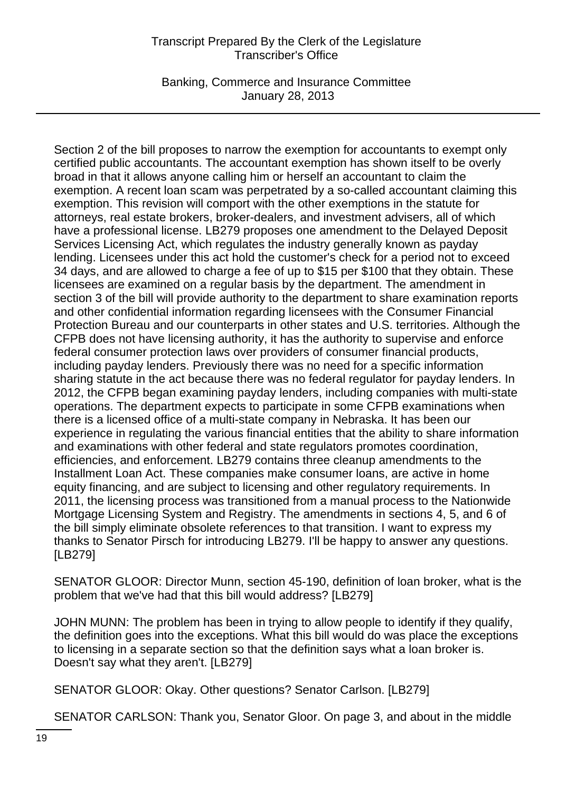Banking, Commerce and Insurance Committee January 28, 2013

Section 2 of the bill proposes to narrow the exemption for accountants to exempt only certified public accountants. The accountant exemption has shown itself to be overly broad in that it allows anyone calling him or herself an accountant to claim the exemption. A recent loan scam was perpetrated by a so-called accountant claiming this exemption. This revision will comport with the other exemptions in the statute for attorneys, real estate brokers, broker-dealers, and investment advisers, all of which have a professional license. LB279 proposes one amendment to the Delayed Deposit Services Licensing Act, which regulates the industry generally known as payday lending. Licensees under this act hold the customer's check for a period not to exceed 34 days, and are allowed to charge a fee of up to \$15 per \$100 that they obtain. These licensees are examined on a regular basis by the department. The amendment in section 3 of the bill will provide authority to the department to share examination reports and other confidential information regarding licensees with the Consumer Financial Protection Bureau and our counterparts in other states and U.S. territories. Although the CFPB does not have licensing authority, it has the authority to supervise and enforce federal consumer protection laws over providers of consumer financial products, including payday lenders. Previously there was no need for a specific information sharing statute in the act because there was no federal regulator for payday lenders. In 2012, the CFPB began examining payday lenders, including companies with multi-state operations. The department expects to participate in some CFPB examinations when there is a licensed office of a multi-state company in Nebraska. It has been our experience in regulating the various financial entities that the ability to share information and examinations with other federal and state regulators promotes coordination, efficiencies, and enforcement. LB279 contains three cleanup amendments to the Installment Loan Act. These companies make consumer loans, are active in home equity financing, and are subject to licensing and other regulatory requirements. In 2011, the licensing process was transitioned from a manual process to the Nationwide Mortgage Licensing System and Registry. The amendments in sections 4, 5, and 6 of the bill simply eliminate obsolete references to that transition. I want to express my thanks to Senator Pirsch for introducing LB279. I'll be happy to answer any questions. [LB279]

SENATOR GLOOR: Director Munn, section 45-190, definition of loan broker, what is the problem that we've had that this bill would address? [LB279]

JOHN MUNN: The problem has been in trying to allow people to identify if they qualify, the definition goes into the exceptions. What this bill would do was place the exceptions to licensing in a separate section so that the definition says what a loan broker is. Doesn't say what they aren't. [LB279]

SENATOR GLOOR: Okay. Other questions? Senator Carlson. [LB279]

SENATOR CARLSON: Thank you, Senator Gloor. On page 3, and about in the middle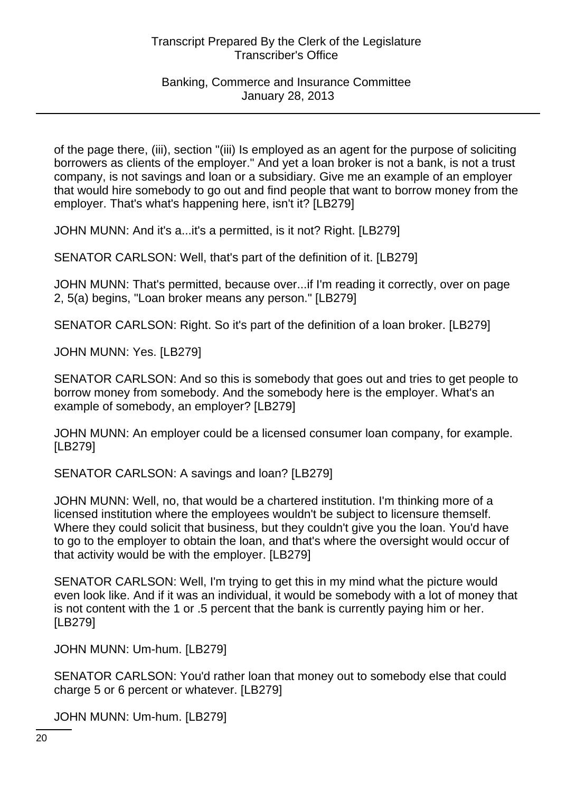of the page there, (iii), section "(iii) Is employed as an agent for the purpose of soliciting borrowers as clients of the employer." And yet a loan broker is not a bank, is not a trust company, is not savings and loan or a subsidiary. Give me an example of an employer that would hire somebody to go out and find people that want to borrow money from the employer. That's what's happening here, isn't it? [LB279]

JOHN MUNN: And it's a...it's a permitted, is it not? Right. [LB279]

SENATOR CARLSON: Well, that's part of the definition of it. [LB279]

JOHN MUNN: That's permitted, because over...if I'm reading it correctly, over on page 2, 5(a) begins, "Loan broker means any person." [LB279]

SENATOR CARLSON: Right. So it's part of the definition of a loan broker. [LB279]

JOHN MUNN: Yes. [LB279]

SENATOR CARLSON: And so this is somebody that goes out and tries to get people to borrow money from somebody. And the somebody here is the employer. What's an example of somebody, an employer? [LB279]

JOHN MUNN: An employer could be a licensed consumer loan company, for example. [LB279]

SENATOR CARLSON: A savings and loan? [LB279]

JOHN MUNN: Well, no, that would be a chartered institution. I'm thinking more of a licensed institution where the employees wouldn't be subject to licensure themself. Where they could solicit that business, but they couldn't give you the loan. You'd have to go to the employer to obtain the loan, and that's where the oversight would occur of that activity would be with the employer. [LB279]

SENATOR CARLSON: Well, I'm trying to get this in my mind what the picture would even look like. And if it was an individual, it would be somebody with a lot of money that is not content with the 1 or .5 percent that the bank is currently paying him or her. [LB279]

JOHN MUNN: Um-hum. [LB279]

SENATOR CARLSON: You'd rather loan that money out to somebody else that could charge 5 or 6 percent or whatever. [LB279]

JOHN MUNN: Um-hum. [LB279]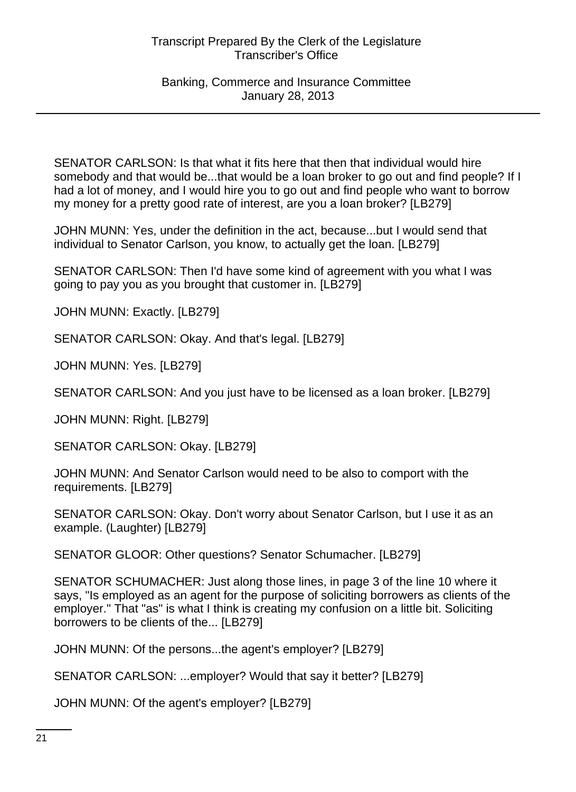SENATOR CARLSON: Is that what it fits here that then that individual would hire somebody and that would be...that would be a loan broker to go out and find people? If I had a lot of money, and I would hire you to go out and find people who want to borrow my money for a pretty good rate of interest, are you a loan broker? [LB279]

JOHN MUNN: Yes, under the definition in the act, because...but I would send that individual to Senator Carlson, you know, to actually get the loan. [LB279]

SENATOR CARLSON: Then I'd have some kind of agreement with you what I was going to pay you as you brought that customer in. [LB279]

JOHN MUNN: Exactly. [LB279]

SENATOR CARLSON: Okay. And that's legal. [LB279]

JOHN MUNN: Yes. [LB279]

SENATOR CARLSON: And you just have to be licensed as a loan broker. [LB279]

JOHN MUNN: Right. [LB279]

SENATOR CARLSON: Okay. [LB279]

JOHN MUNN: And Senator Carlson would need to be also to comport with the requirements. [LB279]

SENATOR CARLSON: Okay. Don't worry about Senator Carlson, but I use it as an example. (Laughter) [LB279]

SENATOR GLOOR: Other questions? Senator Schumacher. [LB279]

SENATOR SCHUMACHER: Just along those lines, in page 3 of the line 10 where it says, "Is employed as an agent for the purpose of soliciting borrowers as clients of the employer." That "as" is what I think is creating my confusion on a little bit. Soliciting borrowers to be clients of the... [LB279]

JOHN MUNN: Of the persons...the agent's employer? [LB279]

SENATOR CARLSON: ...employer? Would that say it better? [LB279]

JOHN MUNN: Of the agent's employer? [LB279]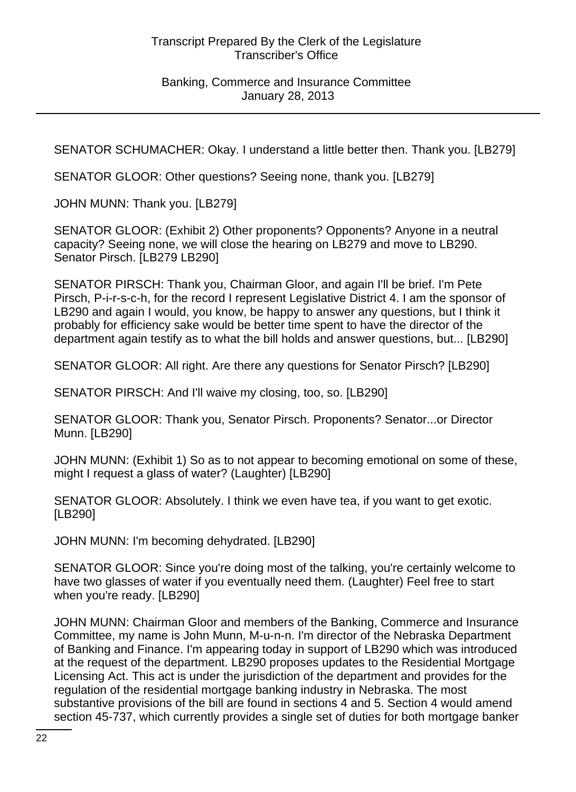#### Banking, Commerce and Insurance Committee January 28, 2013

SENATOR SCHUMACHER: Okay. I understand a little better then. Thank you. [LB279]

SENATOR GLOOR: Other questions? Seeing none, thank you. [LB279]

JOHN MUNN: Thank you. [LB279]

SENATOR GLOOR: (Exhibit 2) Other proponents? Opponents? Anyone in a neutral capacity? Seeing none, we will close the hearing on LB279 and move to LB290. Senator Pirsch. [LB279 LB290]

SENATOR PIRSCH: Thank you, Chairman Gloor, and again I'll be brief. I'm Pete Pirsch, P-i-r-s-c-h, for the record I represent Legislative District 4. I am the sponsor of LB290 and again I would, you know, be happy to answer any questions, but I think it probably for efficiency sake would be better time spent to have the director of the department again testify as to what the bill holds and answer questions, but... [LB290]

SENATOR GLOOR: All right. Are there any questions for Senator Pirsch? [LB290]

SENATOR PIRSCH: And I'll waive my closing, too, so. [LB290]

SENATOR GLOOR: Thank you, Senator Pirsch. Proponents? Senator...or Director Munn. [LB290]

JOHN MUNN: (Exhibit 1) So as to not appear to becoming emotional on some of these, might I request a glass of water? (Laughter) [LB290]

SENATOR GLOOR: Absolutely. I think we even have tea, if you want to get exotic. [LB290]

JOHN MUNN: I'm becoming dehydrated. [LB290]

SENATOR GLOOR: Since you're doing most of the talking, you're certainly welcome to have two glasses of water if you eventually need them. (Laughter) Feel free to start when you're ready. [LB290]

JOHN MUNN: Chairman Gloor and members of the Banking, Commerce and Insurance Committee, my name is John Munn, M-u-n-n. I'm director of the Nebraska Department of Banking and Finance. I'm appearing today in support of LB290 which was introduced at the request of the department. LB290 proposes updates to the Residential Mortgage Licensing Act. This act is under the jurisdiction of the department and provides for the regulation of the residential mortgage banking industry in Nebraska. The most substantive provisions of the bill are found in sections 4 and 5. Section 4 would amend section 45-737, which currently provides a single set of duties for both mortgage banker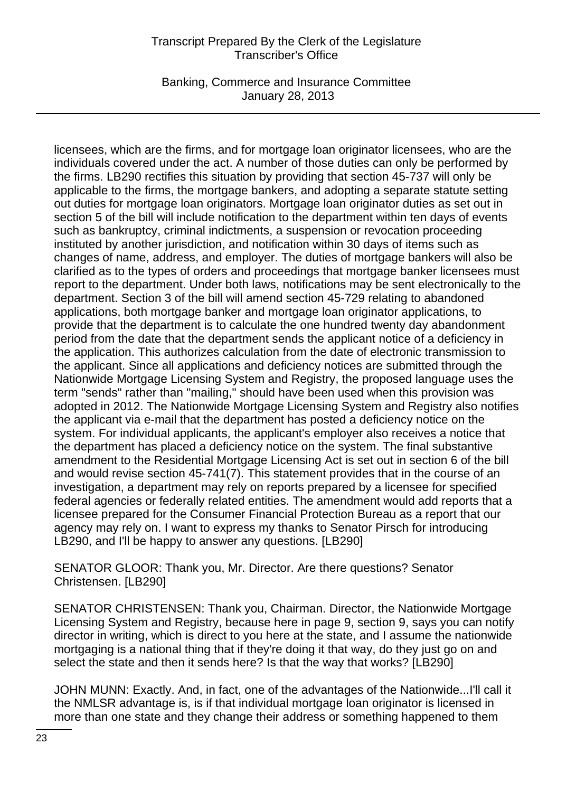Banking, Commerce and Insurance Committee January 28, 2013

licensees, which are the firms, and for mortgage loan originator licensees, who are the individuals covered under the act. A number of those duties can only be performed by the firms. LB290 rectifies this situation by providing that section 45-737 will only be applicable to the firms, the mortgage bankers, and adopting a separate statute setting out duties for mortgage loan originators. Mortgage loan originator duties as set out in section 5 of the bill will include notification to the department within ten days of events such as bankruptcy, criminal indictments, a suspension or revocation proceeding instituted by another jurisdiction, and notification within 30 days of items such as changes of name, address, and employer. The duties of mortgage bankers will also be clarified as to the types of orders and proceedings that mortgage banker licensees must report to the department. Under both laws, notifications may be sent electronically to the department. Section 3 of the bill will amend section 45-729 relating to abandoned applications, both mortgage banker and mortgage loan originator applications, to provide that the department is to calculate the one hundred twenty day abandonment period from the date that the department sends the applicant notice of a deficiency in the application. This authorizes calculation from the date of electronic transmission to the applicant. Since all applications and deficiency notices are submitted through the Nationwide Mortgage Licensing System and Registry, the proposed language uses the term "sends" rather than "mailing," should have been used when this provision was adopted in 2012. The Nationwide Mortgage Licensing System and Registry also notifies the applicant via e-mail that the department has posted a deficiency notice on the system. For individual applicants, the applicant's employer also receives a notice that the department has placed a deficiency notice on the system. The final substantive amendment to the Residential Mortgage Licensing Act is set out in section 6 of the bill and would revise section 45-741(7). This statement provides that in the course of an investigation, a department may rely on reports prepared by a licensee for specified federal agencies or federally related entities. The amendment would add reports that a licensee prepared for the Consumer Financial Protection Bureau as a report that our agency may rely on. I want to express my thanks to Senator Pirsch for introducing LB290, and I'll be happy to answer any questions. [LB290]

SENATOR GLOOR: Thank you, Mr. Director. Are there questions? Senator Christensen. [LB290]

SENATOR CHRISTENSEN: Thank you, Chairman. Director, the Nationwide Mortgage Licensing System and Registry, because here in page 9, section 9, says you can notify director in writing, which is direct to you here at the state, and I assume the nationwide mortgaging is a national thing that if they're doing it that way, do they just go on and select the state and then it sends here? Is that the way that works? [LB290]

JOHN MUNN: Exactly. And, in fact, one of the advantages of the Nationwide...I'll call it the NMLSR advantage is, is if that individual mortgage loan originator is licensed in more than one state and they change their address or something happened to them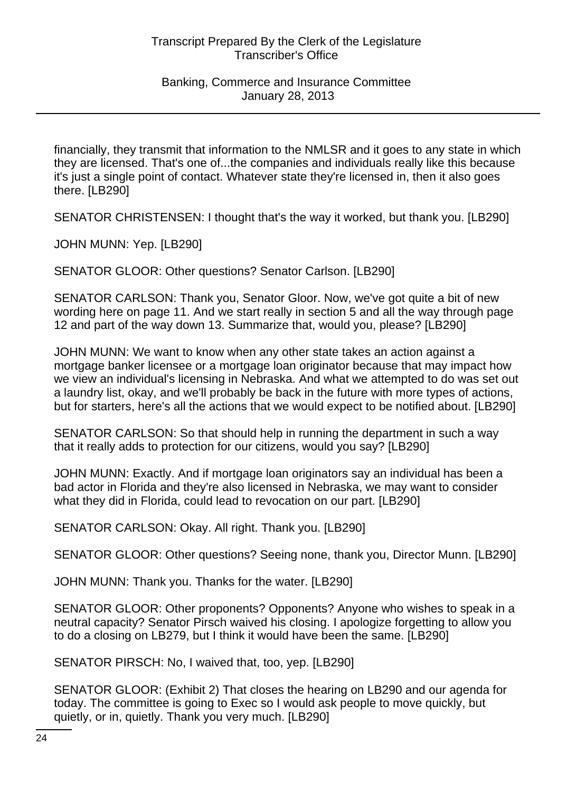financially, they transmit that information to the NMLSR and it goes to any state in which they are licensed. That's one of...the companies and individuals really like this because it's just a single point of contact. Whatever state they're licensed in, then it also goes there. [LB290]

SENATOR CHRISTENSEN: I thought that's the way it worked, but thank you. [LB290]

JOHN MUNN: Yep. [LB290]

SENATOR GLOOR: Other questions? Senator Carlson. [LB290]

SENATOR CARLSON: Thank you, Senator Gloor. Now, we've got quite a bit of new wording here on page 11. And we start really in section 5 and all the way through page 12 and part of the way down 13. Summarize that, would you, please? [LB290]

JOHN MUNN: We want to know when any other state takes an action against a mortgage banker licensee or a mortgage loan originator because that may impact how we view an individual's licensing in Nebraska. And what we attempted to do was set out a laundry list, okay, and we'll probably be back in the future with more types of actions, but for starters, here's all the actions that we would expect to be notified about. [LB290]

SENATOR CARLSON: So that should help in running the department in such a way that it really adds to protection for our citizens, would you say? [LB290]

JOHN MUNN: Exactly. And if mortgage loan originators say an individual has been a bad actor in Florida and they're also licensed in Nebraska, we may want to consider what they did in Florida, could lead to revocation on our part. [LB290]

SENATOR CARLSON: Okay. All right. Thank you. [LB290]

SENATOR GLOOR: Other questions? Seeing none, thank you, Director Munn. [LB290]

JOHN MUNN: Thank you. Thanks for the water. [LB290]

SENATOR GLOOR: Other proponents? Opponents? Anyone who wishes to speak in a neutral capacity? Senator Pirsch waived his closing. I apologize forgetting to allow you to do a closing on LB279, but I think it would have been the same. [LB290]

SENATOR PIRSCH: No, I waived that, too, yep. [LB290]

SENATOR GLOOR: (Exhibit 2) That closes the hearing on LB290 and our agenda for today. The committee is going to Exec so I would ask people to move quickly, but quietly, or in, quietly. Thank you very much. [LB290]